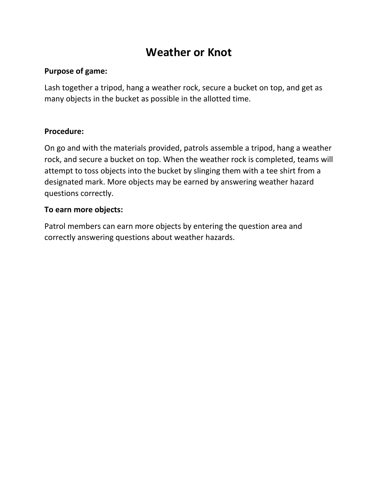## **Weather or Knot**

#### **Purpose of game:**

Lash together a tripod, hang a weather rock, secure a bucket on top, and get as many objects in the bucket as possible in the allotted time.

#### **Procedure:**

On go and with the materials provided, patrols assemble a tripod, hang a weather rock, and secure a bucket on top. When the weather rock is completed, teams will attempt to toss objects into the bucket by slinging them with a tee shirt from a designated mark. More objects may be earned by answering weather hazard questions correctly.

#### **To earn more objects:**

Patrol members can earn more objects by entering the question area and correctly answering questions about weather hazards.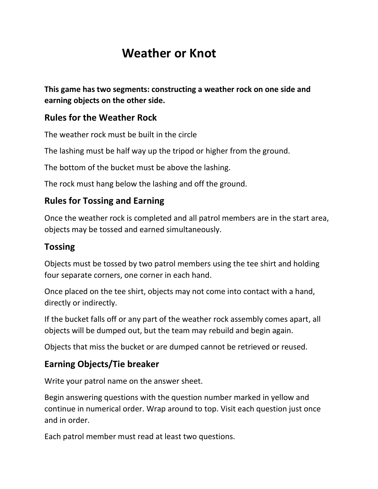# **Weather or Knot**

**This game has two segments: constructing a weather rock on one side and earning objects on the other side.**

### **Rules for the Weather Rock**

The weather rock must be built in the circle

The lashing must be half way up the tripod or higher from the ground.

The bottom of the bucket must be above the lashing.

The rock must hang below the lashing and off the ground.

## **Rules for Tossing and Earning**

Once the weather rock is completed and all patrol members are in the start area, objects may be tossed and earned simultaneously.

### **Tossing**

Objects must be tossed by two patrol members using the tee shirt and holding four separate corners, one corner in each hand.

Once placed on the tee shirt, objects may not come into contact with a hand, directly or indirectly.

If the bucket falls off or any part of the weather rock assembly comes apart, all objects will be dumped out, but the team may rebuild and begin again.

Objects that miss the bucket or are dumped cannot be retrieved or reused.

## **Earning Objects/Tie breaker**

Write your patrol name on the answer sheet.

Begin answering questions with the question number marked in yellow and continue in numerical order. Wrap around to top. Visit each question just once and in order.

Each patrol member must read at least two questions.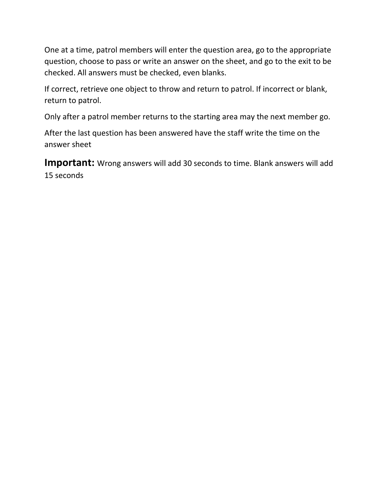One at a time, patrol members will enter the question area, go to the appropriate question, choose to pass or write an answer on the sheet, and go to the exit to be checked. All answers must be checked, even blanks.

If correct, retrieve one object to throw and return to patrol. If incorrect or blank, return to patrol.

Only after a patrol member returns to the starting area may the next member go.

After the last question has been answered have the staff write the time on the answer sheet

**Important:** Wrong answers will add 30 seconds to time. Blank answers will add 15 seconds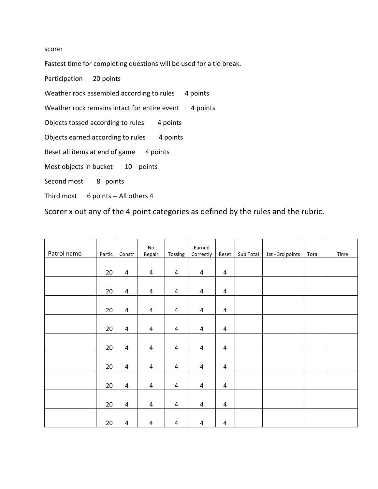score:

Fastest time for completing questions will be used for a tie break.

Participation 20 points

Weather rock assembled according to rules 4 points

Weather rock remains intact for entire event 4 points

Objects tossed according to rules 4 points

Objects earned according to rules 4 points

Reset all items at end of game 4 points

Most objects in bucket 10 points

Second most 8 points

Third most 6 points -- All others 4

Scorer x out any of the 4 point categories as defined by the rules and the rubric.

| Patrol name | Partic | Constr                  | $\operatorname{\mathsf{No}}$<br>Repair | Tossing                 | Earned<br>Correctly     | Reset          | Sub Total | 1st - 3rd points | Total | Time |
|-------------|--------|-------------------------|----------------------------------------|-------------------------|-------------------------|----------------|-----------|------------------|-------|------|
|             | 20     | $\overline{4}$          | $\pmb{4}$                              | $\pmb{4}$               | $\pmb{4}$               | 4              |           |                  |       |      |
|             |        |                         |                                        |                         |                         |                |           |                  |       |      |
|             | 20     | $\overline{\mathbf{4}}$ | $\pmb{4}$                              | $\pmb{4}$               | $\pmb{4}$               | $\overline{a}$ |           |                  |       |      |
|             | 20     | $\overline{4}$          | $\overline{\mathbf{4}}$                | $\overline{\mathbf{4}}$ | $\pmb{4}$               | 4              |           |                  |       |      |
|             | 20     | $\overline{4}$          | $\overline{\mathbf{4}}$                | 4                       | $\pmb{4}$               | $\overline{a}$ |           |                  |       |      |
|             | 20     | $\overline{\mathbf{4}}$ | $\pmb{4}$                              | $\pmb{4}$               | $\pmb{4}$               | $\pmb{4}$      |           |                  |       |      |
|             | 20     | $\overline{\mathbf{4}}$ | $\pmb{4}$                              | $\pmb{4}$               | $\pmb{4}$               | 4              |           |                  |       |      |
|             | 20     | $\overline{\mathbf{4}}$ | $\pmb{4}$                              | $\pmb{4}$               | $\pmb{4}$               | $\overline{a}$ |           |                  |       |      |
|             | 20     | $\overline{4}$          | $\overline{a}$                         | $\overline{\mathbf{4}}$ | $\overline{\mathbf{4}}$ | 4              |           |                  |       |      |
|             | 20     | $\overline{\mathbf{4}}$ | $\pmb{4}$                              | $\pmb{4}$               | $\pmb{4}$               | 4              |           |                  |       |      |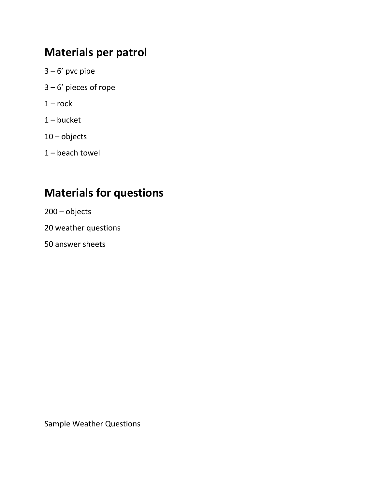## **Materials per patrol**

- $3 6'$  pvc pipe
- 3 6' pieces of rope
- $1 rock$
- 1 bucket
- 10 objects
- 1 beach towel

# **Materials for questions**

200 – objects

20 weather questions

50 answer sheets

Sample Weather Questions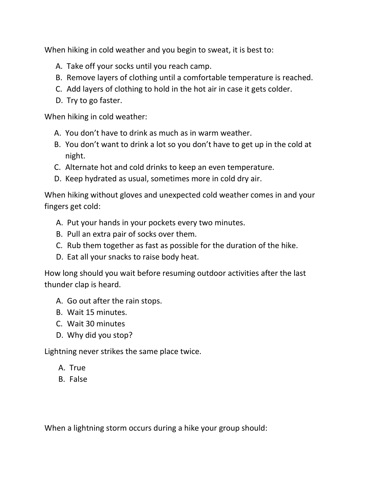When hiking in cold weather and you begin to sweat, it is best to:

- A. Take off your socks until you reach camp.
- B. Remove layers of clothing until a comfortable temperature is reached.
- C. Add layers of clothing to hold in the hot air in case it gets colder.
- D. Try to go faster.

When hiking in cold weather:

- A. You don't have to drink as much as in warm weather.
- B. You don't want to drink a lot so you don't have to get up in the cold at night.
- C. Alternate hot and cold drinks to keep an even temperature.
- D. Keep hydrated as usual, sometimes more in cold dry air.

When hiking without gloves and unexpected cold weather comes in and your fingers get cold:

- A. Put your hands in your pockets every two minutes.
- B. Pull an extra pair of socks over them.
- C. Rub them together as fast as possible for the duration of the hike.
- D. Eat all your snacks to raise body heat.

How long should you wait before resuming outdoor activities after the last thunder clap is heard.

- A. Go out after the rain stops.
- B. Wait 15 minutes.
- C. Wait 30 minutes
- D. Why did you stop?

Lightning never strikes the same place twice.

- A. True
- B. False

When a lightning storm occurs during a hike your group should: